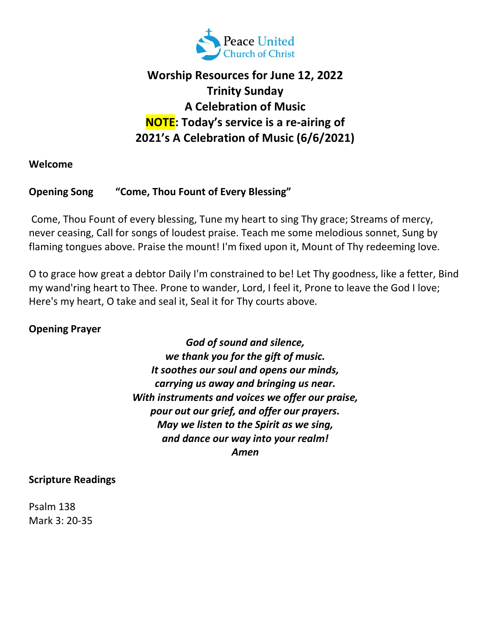

# Worship Resources for June 12, 2022 Trinity Sunday A Celebration of Music NOTE: Today's service is a re-airing of 2021's A Celebration of Music (6/6/2021)

Welcome

#### Opening Song "Come, Thou Fount of Every Blessing"

 Come, Thou Fount of every blessing, Tune my heart to sing Thy grace; Streams of mercy, never ceasing, Call for songs of loudest praise. Teach me some melodious sonnet, Sung by flaming tongues above. Praise the mount! I'm fixed upon it, Mount of Thy redeeming love.

O to grace how great a debtor Daily I'm constrained to be! Let Thy goodness, like a fetter, Bind my wand'ring heart to Thee. Prone to wander, Lord, I feel it, Prone to leave the God I love; Here's my heart, O take and seal it, Seal it for Thy courts above.

#### Opening Prayer

God of sound and silence, we thank you for the gift of music. It soothes our soul and opens our minds, carrying us away and bringing us near. With instruments and voices we offer our praise, pour out our grief, and offer our prayers. May we listen to the Spirit as we sing, and dance our way into your realm! Amen

#### Scripture Readings

Psalm 138 Mark 3: 20-35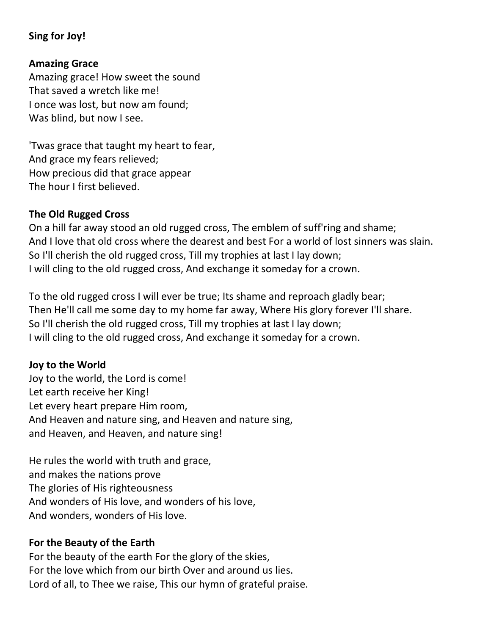## Sing for Joy!

#### Amazing Grace

Amazing grace! How sweet the sound That saved a wretch like me! I once was lost, but now am found; Was blind, but now I see.

'Twas grace that taught my heart to fear, And grace my fears relieved; How precious did that grace appear The hour I first believed.

#### The Old Rugged Cross

On a hill far away stood an old rugged cross, The emblem of suff'ring and shame; And I love that old cross where the dearest and best For a world of lost sinners was slain. So I'll cherish the old rugged cross, Till my trophies at last I lay down; I will cling to the old rugged cross, And exchange it someday for a crown.

To the old rugged cross I will ever be true; Its shame and reproach gladly bear; Then He'll call me some day to my home far away, Where His glory forever I'll share. So I'll cherish the old rugged cross, Till my trophies at last I lay down; I will cling to the old rugged cross, And exchange it someday for a crown.

#### Joy to the World

Joy to the world, the Lord is come! Let earth receive her King! Let every heart prepare Him room, And Heaven and nature sing, and Heaven and nature sing, and Heaven, and Heaven, and nature sing!

He rules the world with truth and grace, and makes the nations prove The glories of His righteousness And wonders of His love, and wonders of his love, And wonders, wonders of His love.

#### For the Beauty of the Earth

For the beauty of the earth For the glory of the skies, For the love which from our birth Over and around us lies. Lord of all, to Thee we raise, This our hymn of grateful praise.